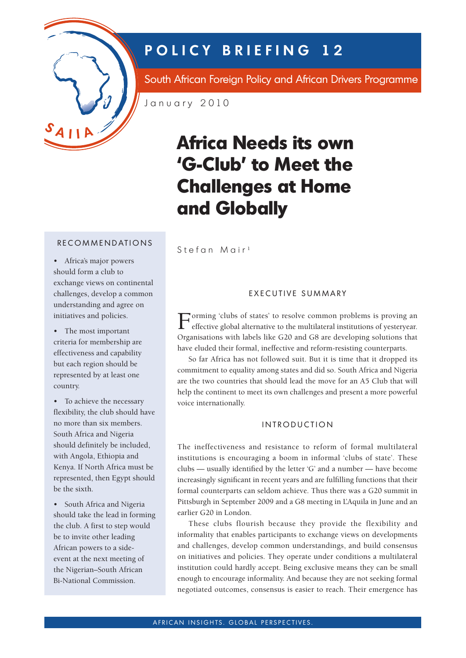

## **POLICY BRIEFING 12**

South African Foreign Policy and African Drivers Programme

January 2010

# **Africa Needs its own 'G-Club' to Meet the Challenges at Home and Globally**

RECOMMENDATIONS

• Africa's major powers should form a club to exchange views on continental challenges, develop a common understanding and agree on initiatives and policies.

• The most important criteria for membership are effectiveness and capability but each region should be represented by at least one country.

• To achieve the necessary flexibility, the club should have no more than six members. South Africa and Nigeria should definitely be included, with Angola, Ethiopia and Kenya. If North Africa must be represented, then Egypt should be the sixth.

• South Africa and Nigeria should take the lead in forming the club. A first to step would be to invite other leading African powers to a sideevent at the next meeting of the Nigerian–South African Bi-National Commission.

Stefan Mair<sup>1</sup>

#### EXECUTIVE SUMMARY

Forming 'clubs of states' to resolve common problems is proving an effective global alternative to the multilateral institutions of yesteryear. Organisations with labels like G20 and G8 are developing solutions that have eluded their formal, ineffective and reform-resisting counterparts.

So far Africa has not followed suit. But it is time that it dropped its commitment to equality among states and did so. South Africa and Nigeria are the two countries that should lead the move for an A5 Club that will help the continent to meet its own challenges and present a more powerful voice internationally.

#### INTRODUCTION

The ineffectiveness and resistance to reform of formal multilateral institutions is encouraging a boom in informal 'clubs of state'. These clubs — usually identified by the letter 'G' and a number — have become increasingly significant in recent years and are fulfilling functions that their formal counterparts can seldom achieve. Thus there was a G20 summit in Pittsburgh in September 2009 and a G8 meeting in L'Aquila in June and an earlier G20 in London.

These clubs flourish because they provide the flexibility and informality that enables participants to exchange views on developments and challenges, develop common understandings, and build consensus on initiatives and policies. They operate under conditions a multilateral institution could hardly accept. Being exclusive means they can be small enough to encourage informality. And because they are not seeking formal negotiated outcomes, consensus is easier to reach. Their emergence has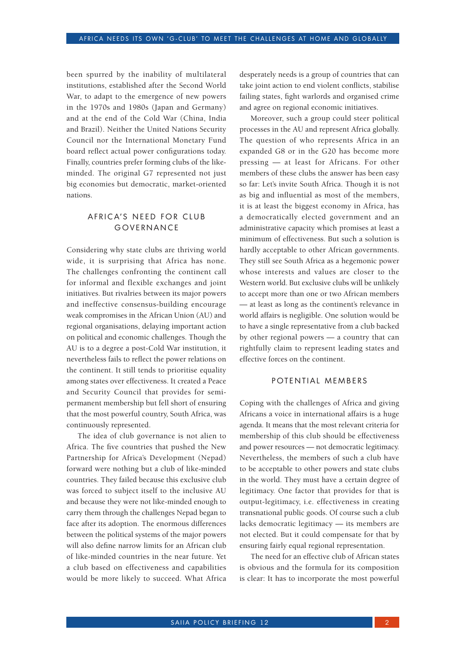been spurred by the inability of multilateral institutions, established after the Second World War, to adapt to the emergence of new powers in the 1970s and 1980s (Japan and Germany) and at the end of the Cold War (China, India and Brazil). Neither the United Nations Security Council nor the International Monetary Fund board reflect actual power configurations today. Finally, countries prefer forming clubs of the likeminded. The original G7 represented not just big economies but democratic, market-oriented nations.

### AFRICA'S NEED FOR CLUB GOVERNANCE

Considering why state clubs are thriving world wide, it is surprising that Africa has none. The challenges confronting the continent call for informal and flexible exchanges and joint initiatives. But rivalries between its major powers and ineffective consensus-building encourage weak compromises in the African Union (AU) and regional organisations, delaying important action on political and economic challenges. Though the AU is to a degree a post-Cold War institution, it nevertheless fails to reflect the power relations on the continent. It still tends to prioritise equality among states over effectiveness. It created a Peace and Security Council that provides for semipermanent membership but fell short of ensuring that the most powerful country, South Africa, was continuously represented.

The idea of club governance is not alien to Africa. The five countries that pushed the New Partnership for Africa's Development (Nepad) forward were nothing but a club of like-minded countries. They failed because this exclusive club was forced to subject itself to the inclusive AU and because they were not like-minded enough to carry them through the challenges Nepad began to face after its adoption. The enormous differences between the political systems of the major powers will also define narrow limits for an African club of like-minded countries in the near future. Yet a club based on effectiveness and capabilities would be more likely to succeed. What Africa

desperately needs is a group of countries that can take joint action to end violent conflicts, stabilise failing states, fight warlords and organised crime and agree on regional economic initiatives.

Moreover, such a group could steer political processes in the AU and represent Africa globally. The question of who represents Africa in an expanded G8 or in the G20 has become more pressing — at least for Africans. For other members of these clubs the answer has been easy so far: Let's invite South Africa. Though it is not as big and influential as most of the members, it is at least the biggest economy in Africa, has a democratically elected government and an administrative capacity which promises at least a minimum of effectiveness. But such a solution is hardly acceptable to other African governments. They still see South Africa as a hegemonic power whose interests and values are closer to the Western world. But exclusive clubs will be unlikely to accept more than one or two African members — at least as long as the continent's relevance in world affairs is negligible. One solution would be to have a single representative from a club backed by other regional powers — a country that can rightfully claim to represent leading states and effective forces on the continent.

#### POTENTIAL MEMBERS

Coping with the challenges of Africa and giving Africans a voice in international affairs is a huge agenda. It means that the most relevant criteria for membership of this club should be effectiveness and power resources — not democratic legitimacy. Nevertheless, the members of such a club have to be acceptable to other powers and state clubs in the world. They must have a certain degree of legitimacy. One factor that provides for that is output-legitimacy, i.e. effectiveness in creating transnational public goods. Of course such a club lacks democratic legitimacy — its members are not elected. But it could compensate for that by ensuring fairly equal regional representation.

The need for an effective club of African states is obvious and the formula for its composition is clear: It has to incorporate the most powerful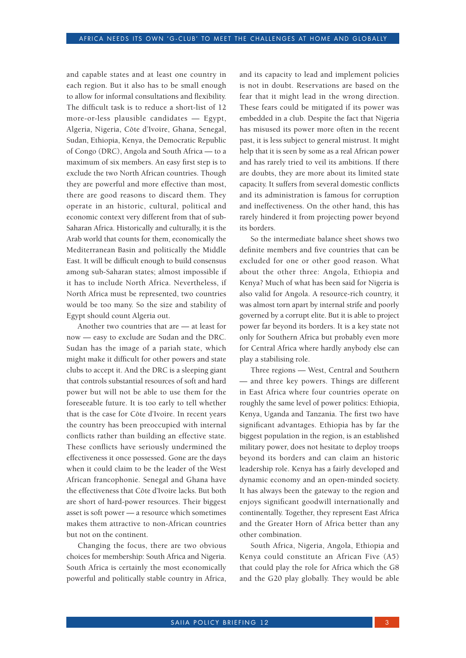and capable states and at least one country in each region. But it also has to be small enough to allow for informal consultations and flexibility. The difficult task is to reduce a short-list of 12 more-or-less plausible candidates — Egypt, Algeria, Nigeria, Côte d'Ivoire, Ghana, Senegal, Sudan, Ethiopia, Kenya, the Democratic Republic of Congo (DRC), Angola and South Africa — to a maximum of six members. An easy first step is to exclude the two North African countries. Though they are powerful and more effective than most, there are good reasons to discard them. They operate in an historic, cultural, political and economic context very different from that of sub-Saharan Africa. Historically and culturally, it is the Arab world that counts for them, economically the Mediterranean Basin and politically the Middle East. It will be difficult enough to build consensus among sub-Saharan states; almost impossible if it has to include North Africa. Nevertheless, if North Africa must be represented, two countries would be too many. So the size and stability of Egypt should count Algeria out.

Another two countries that are — at least for now — easy to exclude are Sudan and the DRC. Sudan has the image of a pariah state, which might make it difficult for other powers and state clubs to accept it. And the DRC is a sleeping giant that controls substantial resources of soft and hard power but will not be able to use them for the foreseeable future. It is too early to tell whether that is the case for Côte d'Ivoire. In recent years the country has been preoccupied with internal conflicts rather than building an effective state. These conflicts have seriously undermined the effectiveness it once possessed. Gone are the days when it could claim to be the leader of the West African francophonie. Senegal and Ghana have the effectiveness that Côte d'Ivoire lacks. But both are short of hard-power resources. Their biggest asset is soft power — a resource which sometimes makes them attractive to non-African countries but not on the continent.

Changing the focus, there are two obvious choices for membership: South Africa and Nigeria. South Africa is certainly the most economically powerful and politically stable country in Africa,

and its capacity to lead and implement policies is not in doubt. Reservations are based on the fear that it might lead in the wrong direction. These fears could be mitigated if its power was embedded in a club. Despite the fact that Nigeria has misused its power more often in the recent past, it is less subject to general mistrust. It might help that it is seen by some as a real African power and has rarely tried to veil its ambitions. If there are doubts, they are more about its limited state capacity. It suffers from several domestic conflicts and its administration is famous for corruption and ineffectiveness. On the other hand, this has rarely hindered it from projecting power beyond its borders.

So the intermediate balance sheet shows two definite members and five countries that can be excluded for one or other good reason. What about the other three: Angola, Ethiopia and Kenya? Much of what has been said for Nigeria is also valid for Angola. A resource-rich country, it was almost torn apart by internal strife and poorly governed by a corrupt elite. But it is able to project power far beyond its borders. It is a key state not only for Southern Africa but probably even more for Central Africa where hardly anybody else can play a stabilising role.

Three regions — West, Central and Southern — and three key powers. Things are different in East Africa where four countries operate on roughly the same level of power politics: Ethiopia, Kenya, Uganda and Tanzania. The first two have significant advantages. Ethiopia has by far the biggest population in the region, is an established military power, does not hesitate to deploy troops beyond its borders and can claim an historic leadership role. Kenya has a fairly developed and dynamic economy and an open-minded society. It has always been the gateway to the region and enjoys significant goodwill internationally and continentally. Together, they represent East Africa and the Greater Horn of Africa better than any other combination.

South Africa, Nigeria, Angola, Ethiopia and Kenya could constitute an African Five (A5) that could play the role for Africa which the G8 and the G20 play globally. They would be able